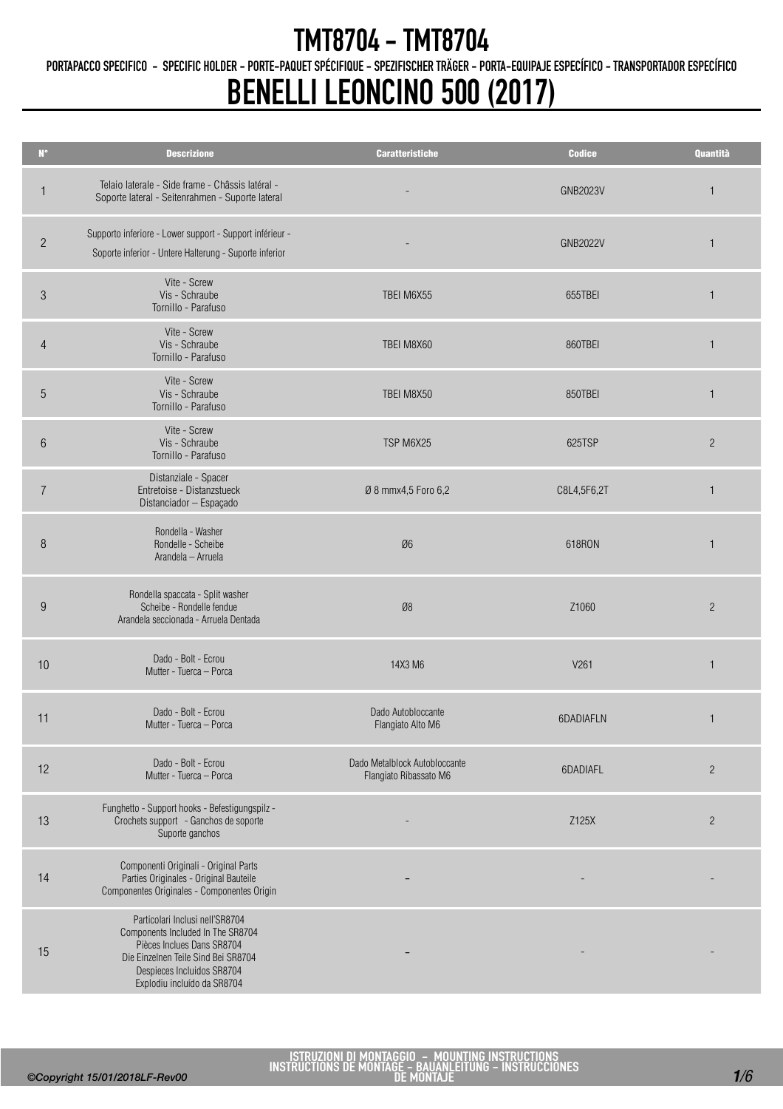PORTAPACCO SPECIFICO - SPECIFIC HOLDER - PORTE-PAQUET SPÉCIFIQUE - SPEZIFISCHER TRÄGER - PORTA-EQUIPAJE ESPECÍFICO - TRANSPORTADOR ESPECÍFICO

## BENELLI LEONCINO 500 (2017)

| $\mathbf{N}^{\bullet}$ | <b>Descrizione</b>                                                                                                                                                                                     | <b>Caratteristiche</b>                                  | <b>Codice</b>   | Quantità       |
|------------------------|--------------------------------------------------------------------------------------------------------------------------------------------------------------------------------------------------------|---------------------------------------------------------|-----------------|----------------|
| 1                      | Telaio laterale - Side frame - Châssis latéral -<br>Soporte lateral - Seitenrahmen - Suporte lateral                                                                                                   |                                                         | <b>GNB2023V</b> | $\mathbf{1}$   |
| $\overline{2}$         | Supporto inferiore - Lower support - Support inférieur -<br>Soporte inferior - Untere Halterung - Suporte inferior                                                                                     |                                                         | <b>GNB2022V</b> | $\mathbf{1}$   |
| $\mathfrak{S}$         | Vite - Screw<br>Vis - Schraube<br>Tornillo - Parafuso                                                                                                                                                  | TBEI M6X55                                              | 655TBEI         | $\mathbf{1}$   |
| $\overline{4}$         | Vite - Screw<br>Vis - Schraube<br>Tornillo - Parafuso                                                                                                                                                  | TBEI M8X60                                              | 860TBEI         | $\mathbf{1}$   |
| 5                      | Vite - Screw<br>Vis - Schraube<br>Tornillo - Parafuso                                                                                                                                                  | TBEI M8X50                                              | 850TBEI         | $\mathbf{1}$   |
| 6                      | Vite - Screw<br>Vis - Schraube<br>Tornillo - Parafuso                                                                                                                                                  | TSP M6X25                                               | 625TSP          | $\overline{c}$ |
| $\overline{7}$         | Distanziale - Spacer<br>Entretoise - Distanzstueck<br>Distanciador - Espaçado                                                                                                                          | Ø 8 mmx4,5 Foro 6,2                                     | C8L4,5F6,2T     | 1              |
| 8                      | Rondella - Washer<br>Rondelle - Scheibe<br>Arandela - Arruela                                                                                                                                          | Ø6                                                      | 618RON          | 1              |
| 9                      | Rondella spaccata - Split washer<br>Scheibe - Rondelle fendue<br>Arandela seccionada - Arruela Dentada                                                                                                 | Ø8                                                      | Z1060           | $\overline{c}$ |
| 10                     | Dado - Bolt - Ecrou<br>Mutter - Tuerca - Porca                                                                                                                                                         | 14X3 M6                                                 | V261            | $\mathbf{1}$   |
| 11                     | Dado - Bolt - Ecrou<br>Mutter - Tuerca - Porca                                                                                                                                                         | Dado Autobloccante<br>Flangiato Alto M6                 | 6DADIAFLN       | 1              |
| 12                     | Dado - Bolt - Ecrou<br>Mutter - Tuerca - Porca                                                                                                                                                         | Dado Metalblock Autobloccante<br>Flangiato Ribassato M6 | 6DADIAFL        | $\overline{c}$ |
| 13                     | Funghetto - Support hooks - Befestigungspilz -<br>Crochets support - Ganchos de soporte<br>Suporte ganchos                                                                                             |                                                         | Z125X           | $\overline{2}$ |
| 14                     | Componenti Originali - Original Parts<br>Parties Originales - Original Bauteile<br>Componentes Originales - Componentes Origin                                                                         |                                                         |                 |                |
| 15                     | Particolari Inclusi nell'SR8704<br>Components Included In The SR8704<br>Pièces Inclues Dans SR8704<br>Die Einzelnen Teile Sind Bei SR8704<br>Despieces Incluidos SR8704<br>Explodiu incluído da SR8704 |                                                         |                 |                |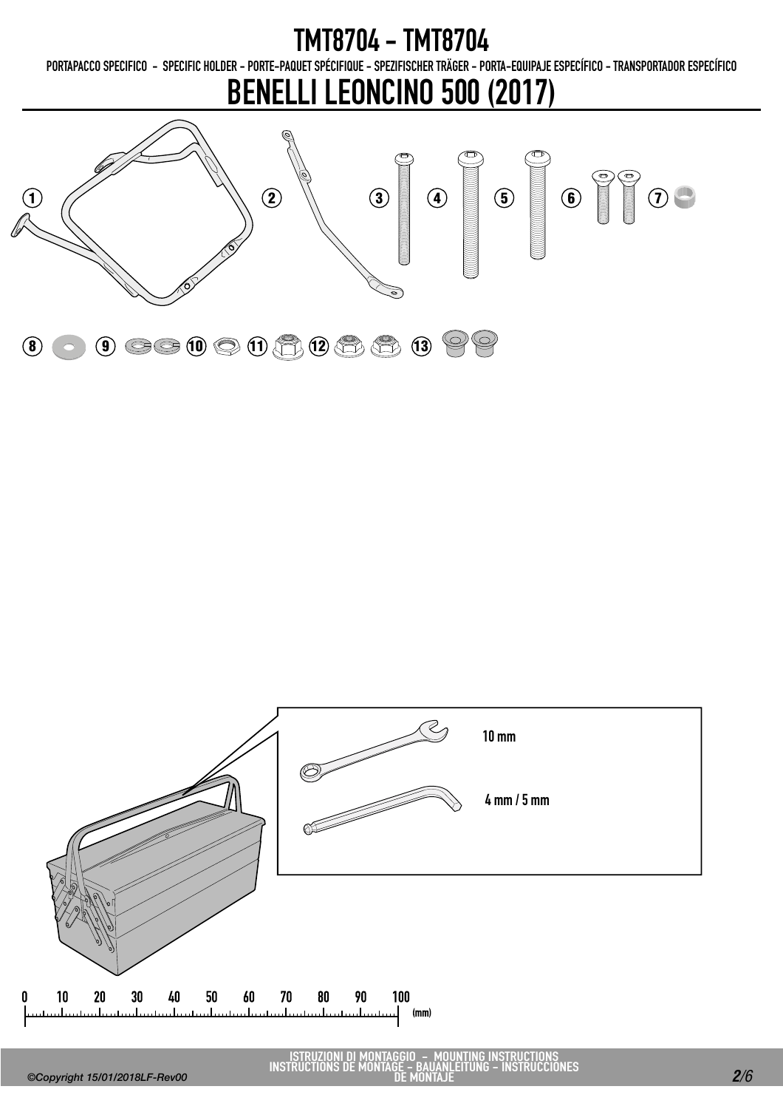PORTAPACCO SPECIFICO - SPECIFIC HOLDER - PORTE-PAQUET SPÉCIFIQUE - SPEZIFISCHER TRÄGER - PORTA-EQUIPAJE ESPECÍFICO - TRANSPORTADOR ESPECÍFICO

### BENELLI LEONCINO 500 (2017)





ISTRUZIONI DI MONTAGGIO - MOUNTING INSTRUCTIONS INSTRUCTIONS DE MONTAGE - BAUANLEITUNG - INSTRUCCIONES DE MONTAJE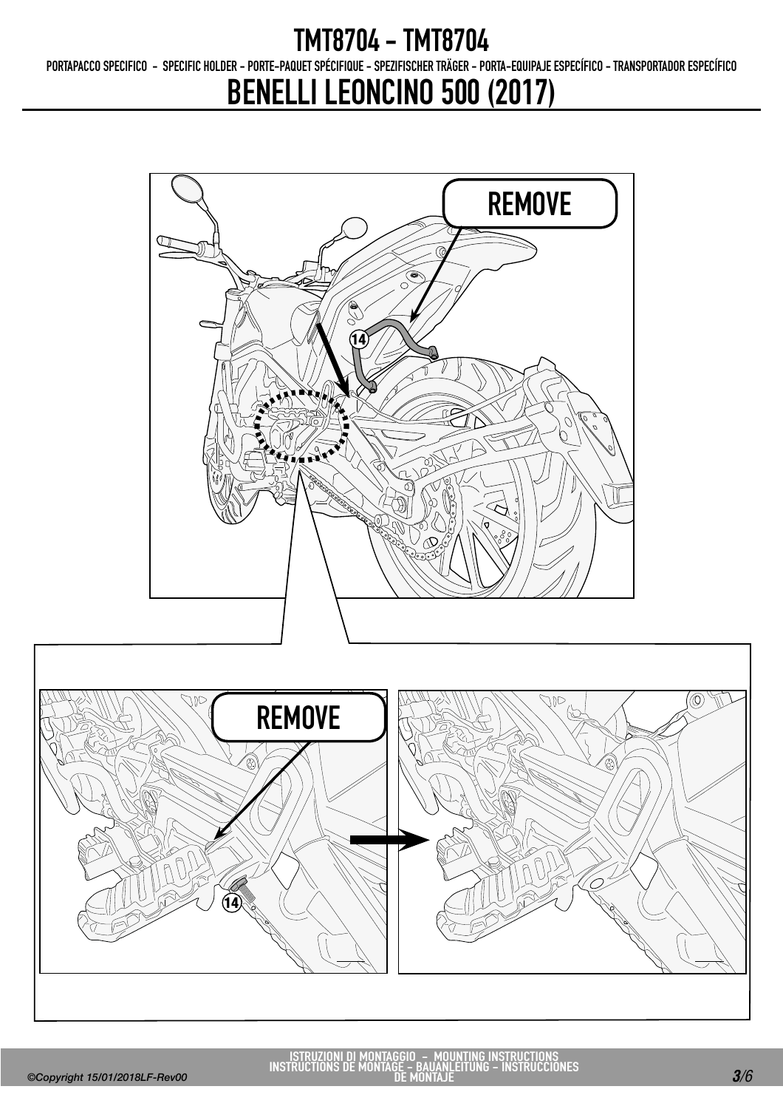PORTAPACCO SPECIFICO - SPECIFIC HOLDER - PORTE-PAQUET SPÉCIFIQUE - SPEZIFISCHER TRÄGER - PORTA-EQUIPAJE ESPECÍFICO - TRANSPORTADOR ESPECÍFICO

### BENELLI LEONCINO 500 (2017)



ISTRUZIONI DI MONTAGGIO - MOUNTING INSTRUCTIONS INSTRUCTIONS DE MONTAGE - BAUANLEITUNG - INSTRUCCIONES DE MONTAJE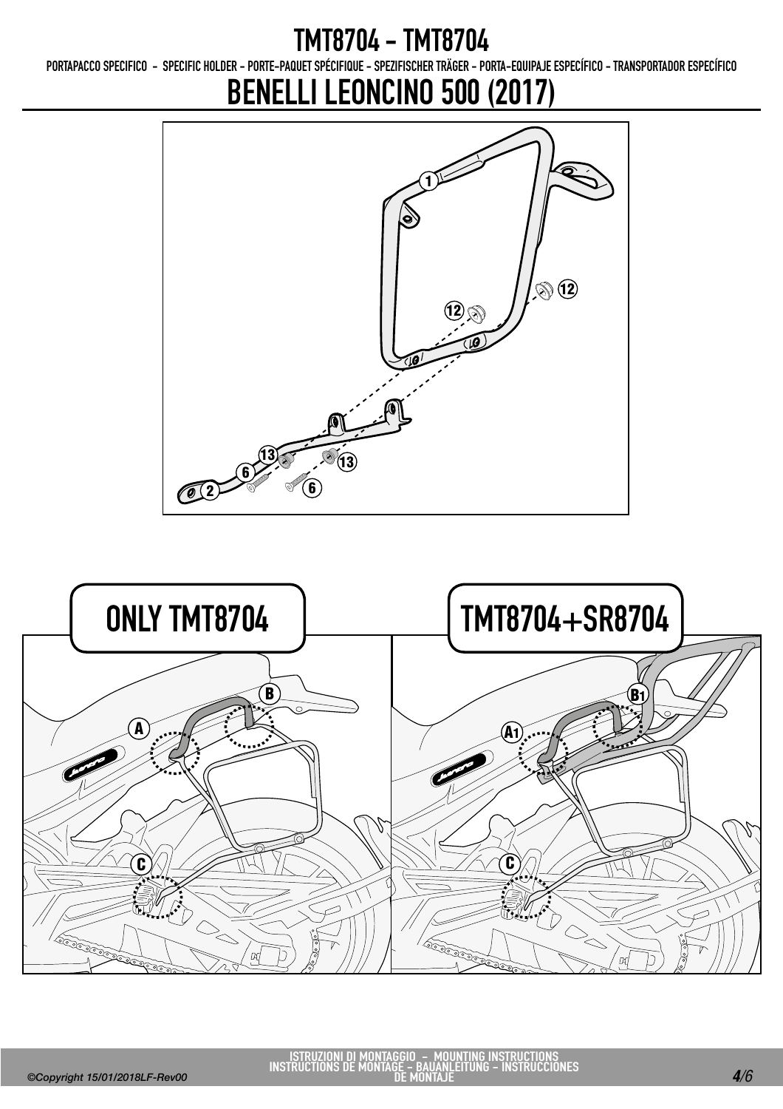PORTAPACCO SPECIFICO - SPECIFIC HOLDER - PORTE-PAQUET SPÉCIFIQUE - SPEZIFISCHER TRÄGER - PORTA-EQUIPAJE ESPECÍFICO - TRANSPORTADOR ESPECÍFICO

# BENELLI LEONCINO 500 (2017)



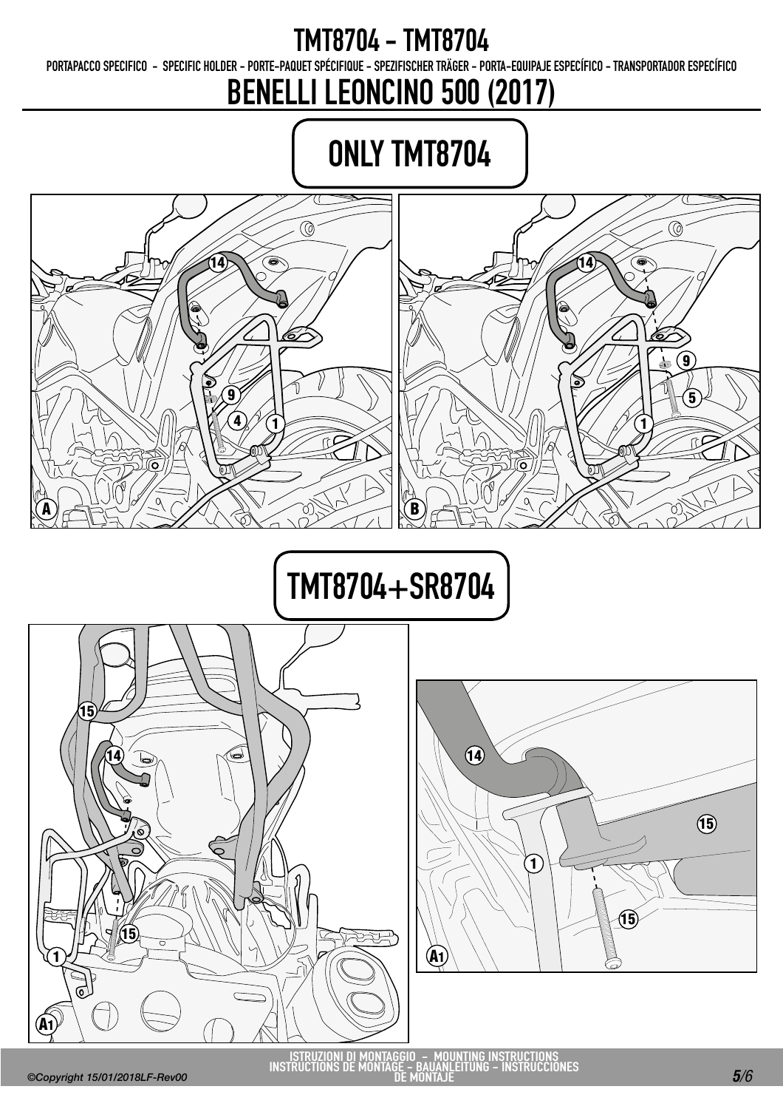PORTAPACCO SPECIFICO - SPECIFIC HOLDER - PORTE-PAQUET SPÉCIFIQUE - SPEZIFISCHER TRÄGER - PORTA-EQUIPAJE ESPECÍFICO - TRANSPORTADOR ESPECÍFICO

BENELLI LEONCINO 500 (2017)